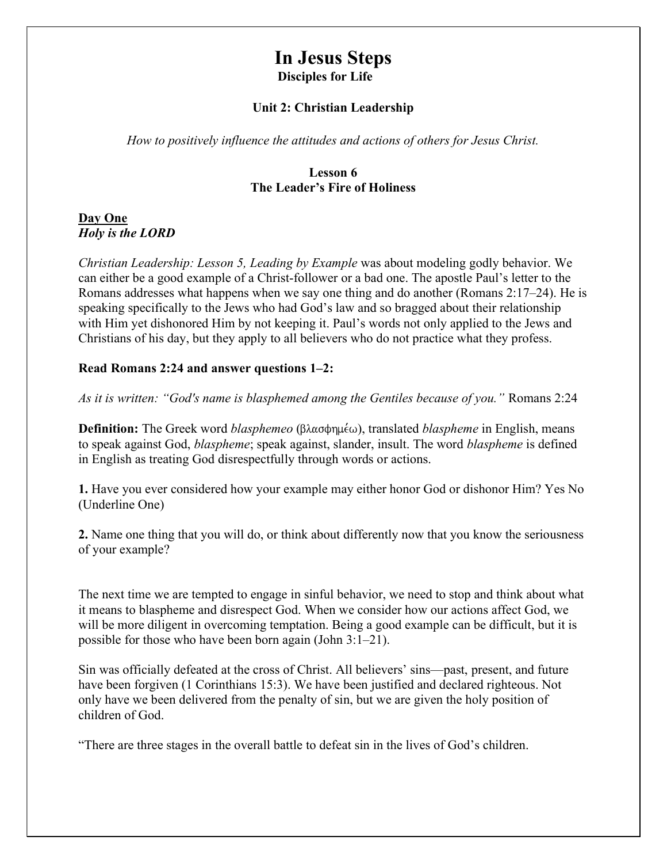# In Jesus Steps Disciples for Life

#### Unit 2: Christian Leadership

How to positively influence the attitudes and actions of others for Jesus Christ.

#### Lesson 6 The Leader's Fire of Holiness

#### Day One Holy is the LORD

Christian Leadership: Lesson 5, Leading by Example was about modeling godly behavior. We can either be a good example of a Christ-follower or a bad one. The apostle Paul's letter to the Romans addresses what happens when we say one thing and do another (Romans 2:17–24). He is speaking specifically to the Jews who had God's law and so bragged about their relationship with Him yet dishonored Him by not keeping it. Paul's words not only applied to the Jews and Christians of his day, but they apply to all believers who do not practice what they profess.

#### Read Romans 2:24 and answer questions 1–2:

As it is written: "God's name is blasphemed among the Gentiles because of you." Romans 2:24

**Definition:** The Greek word *blasphemeo* ( $\beta \lambda \alpha \sigma \phi \eta \mu \epsilon \omega$ ), translated *blaspheme* in English, means to speak against God, blaspheme; speak against, slander, insult. The word blaspheme is defined in English as treating God disrespectfully through words or actions.

1. Have you ever considered how your example may either honor God or dishonor Him? Yes No (Underline One)

2. Name one thing that you will do, or think about differently now that you know the seriousness of your example?

The next time we are tempted to engage in sinful behavior, we need to stop and think about what it means to blaspheme and disrespect God. When we consider how our actions affect God, we will be more diligent in overcoming temptation. Being a good example can be difficult, but it is possible for those who have been born again (John 3:1–21).

Sin was officially defeated at the cross of Christ. All believers' sins—past, present, and future have been forgiven (1 Corinthians 15:3). We have been justified and declared righteous. Not only have we been delivered from the penalty of sin, but we are given the holy position of children of God.

"There are three stages in the overall battle to defeat sin in the lives of God's children.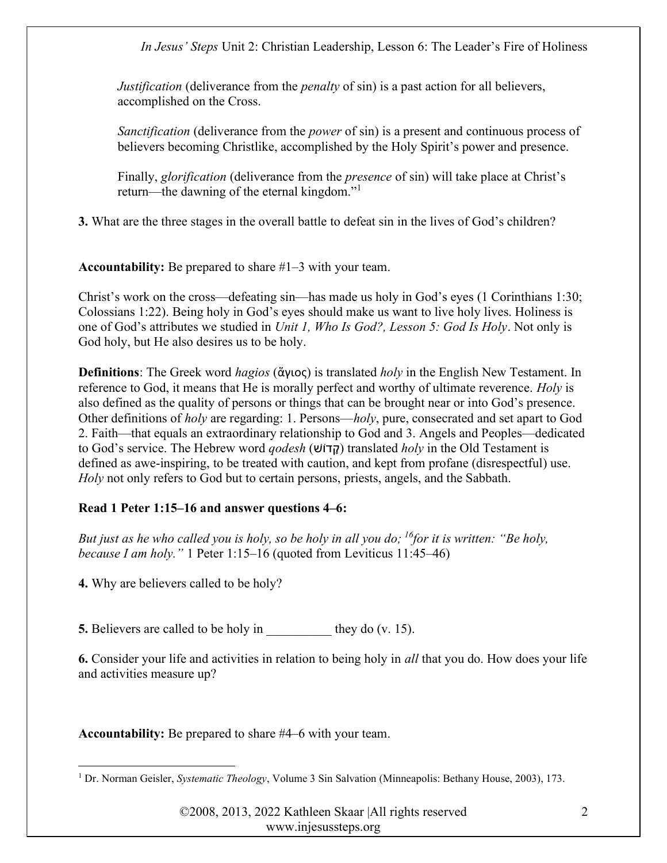*Justification* (deliverance from the *penalty* of sin) is a past action for all believers, accomplished on the Cross.

Sanctification (deliverance from the *power* of sin) is a present and continuous process of believers becoming Christlike, accomplished by the Holy Spirit's power and presence.

Finally, glorification (deliverance from the *presence* of sin) will take place at Christ's return—the dawning of the eternal kingdom."<sup>1</sup>

3. What are the three stages in the overall battle to defeat sin in the lives of God's children?

Accountability: Be prepared to share #1–3 with your team.

Christ's work on the cross—defeating sin—has made us holy in God's eyes (1 Corinthians 1:30; Colossians 1:22). Being holy in God's eyes should make us want to live holy lives. Holiness is one of God's attributes we studied in Unit 1, Who Is God?, Lesson 5: God Is Holy. Not only is God holy, but He also desires us to be holy.

**Definitions**: The Greek word *hagios* (άγιος) is translated *holy* in the English New Testament. In reference to God, it means that He is morally perfect and worthy of ultimate reverence. Holy is also defined as the quality of persons or things that can be brought near or into God's presence. Other definitions of holy are regarding: 1. Persons—holy, pure, consecrated and set apart to God 2. Faith—that equals an extraordinary relationship to God and 3. Angels and Peoples—dedicated to God's service. The Hebrew word *godesh* (קדוֹשׁ) translated *holy* in the Old Testament is defined as awe-inspiring, to be treated with caution, and kept from profane (disrespectful) use. Holy not only refers to God but to certain persons, priests, angels, and the Sabbath.

# Read 1 Peter 1:15–16 and answer questions 4–6:

But just as he who called you is holy, so be holy in all you do; <sup>16</sup>for it is written: "Be holy, because I am holy." 1 Peter 1:15–16 (quoted from Leviticus 11:45–46)

4. Why are believers called to be holy?

5. Believers are called to be holy in they do (v. 15).

6. Consider your life and activities in relation to being holy in all that you do. How does your life and activities measure up?

Accountability: Be prepared to share #4–6 with your team.

<sup>&</sup>lt;sup>1</sup> Dr. Norman Geisler, *Systematic Theology*, Volume 3 Sin Salvation (Minneapolis: Bethany House, 2003), 173.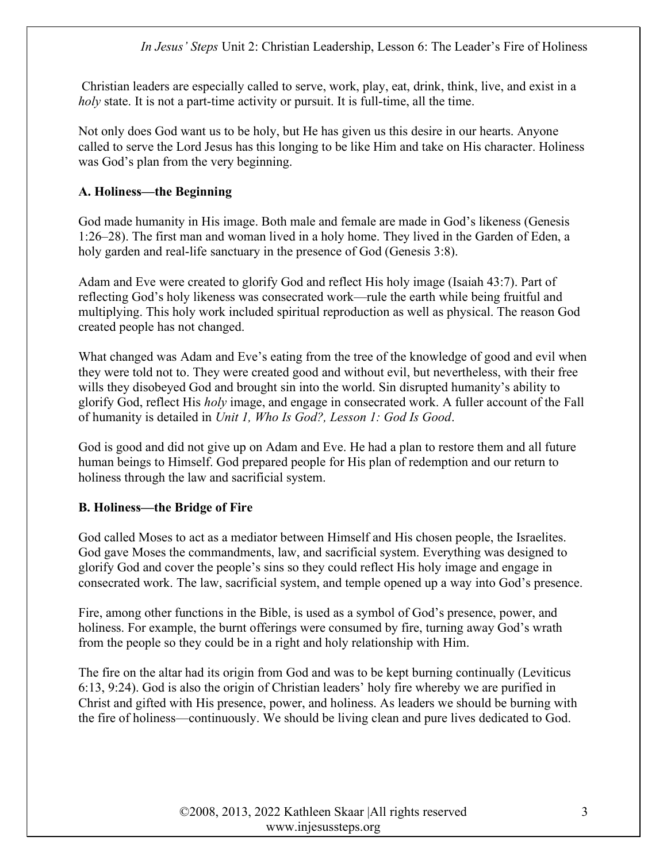Christian leaders are especially called to serve, work, play, eat, drink, think, live, and exist in a holy state. It is not a part-time activity or pursuit. It is full-time, all the time.

Not only does God want us to be holy, but He has given us this desire in our hearts. Anyone called to serve the Lord Jesus has this longing to be like Him and take on His character. Holiness was God's plan from the very beginning.

# A. Holiness—the Beginning

God made humanity in His image. Both male and female are made in God's likeness (Genesis 1:26–28). The first man and woman lived in a holy home. They lived in the Garden of Eden, a holy garden and real-life sanctuary in the presence of God (Genesis 3:8).

Adam and Eve were created to glorify God and reflect His holy image (Isaiah 43:7). Part of reflecting God's holy likeness was consecrated work—rule the earth while being fruitful and multiplying. This holy work included spiritual reproduction as well as physical. The reason God created people has not changed.

What changed was Adam and Eve's eating from the tree of the knowledge of good and evil when they were told not to. They were created good and without evil, but nevertheless, with their free wills they disobeyed God and brought sin into the world. Sin disrupted humanity's ability to glorify God, reflect His holy image, and engage in consecrated work. A fuller account of the Fall of humanity is detailed in Unit 1, Who Is God?, Lesson 1: God Is Good.

God is good and did not give up on Adam and Eve. He had a plan to restore them and all future human beings to Himself. God prepared people for His plan of redemption and our return to holiness through the law and sacrificial system.

# B. Holiness—the Bridge of Fire

God called Moses to act as a mediator between Himself and His chosen people, the Israelites. God gave Moses the commandments, law, and sacrificial system. Everything was designed to glorify God and cover the people's sins so they could reflect His holy image and engage in consecrated work. The law, sacrificial system, and temple opened up a way into God's presence.

Fire, among other functions in the Bible, is used as a symbol of God's presence, power, and holiness. For example, the burnt offerings were consumed by fire, turning away God's wrath from the people so they could be in a right and holy relationship with Him.

The fire on the altar had its origin from God and was to be kept burning continually (Leviticus 6:13, 9:24). God is also the origin of Christian leaders' holy fire whereby we are purified in Christ and gifted with His presence, power, and holiness. As leaders we should be burning with the fire of holiness—continuously. We should be living clean and pure lives dedicated to God.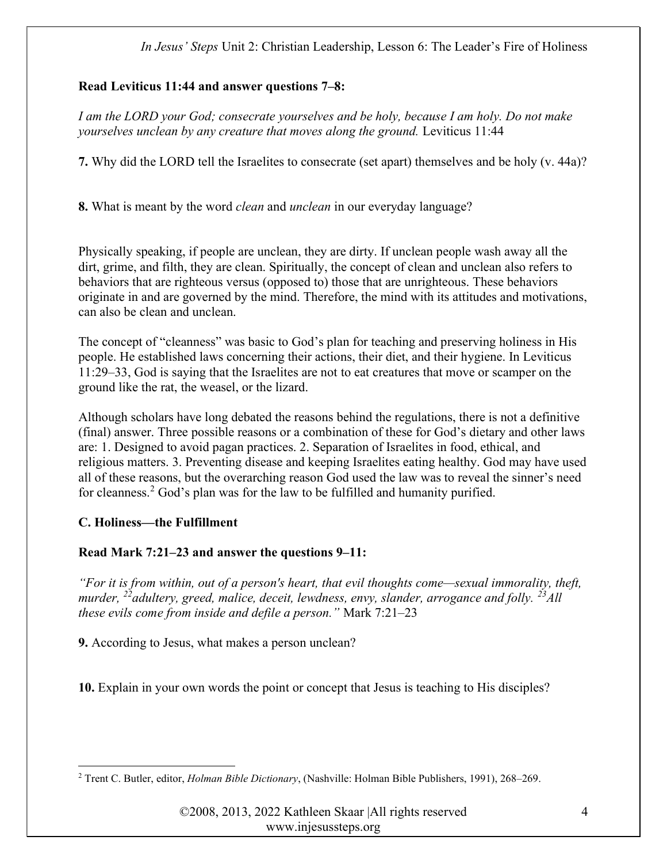# Read Leviticus 11:44 and answer questions 7–8:

I am the LORD your God; consecrate yourselves and be holy, because I am holy. Do not make yourselves unclean by any creature that moves along the ground. Leviticus 11:44

7. Why did the LORD tell the Israelites to consecrate (set apart) themselves and be holy (v. 44a)?

8. What is meant by the word *clean* and *unclean* in our everyday language?

Physically speaking, if people are unclean, they are dirty. If unclean people wash away all the dirt, grime, and filth, they are clean. Spiritually, the concept of clean and unclean also refers to behaviors that are righteous versus (opposed to) those that are unrighteous. These behaviors originate in and are governed by the mind. Therefore, the mind with its attitudes and motivations, can also be clean and unclean.

The concept of "cleanness" was basic to God's plan for teaching and preserving holiness in His people. He established laws concerning their actions, their diet, and their hygiene. In Leviticus 11:29–33, God is saying that the Israelites are not to eat creatures that move or scamper on the ground like the rat, the weasel, or the lizard.

Although scholars have long debated the reasons behind the regulations, there is not a definitive (final) answer. Three possible reasons or a combination of these for God's dietary and other laws are: 1. Designed to avoid pagan practices. 2. Separation of Israelites in food, ethical, and religious matters. 3. Preventing disease and keeping Israelites eating healthy. God may have used all of these reasons, but the overarching reason God used the law was to reveal the sinner's need for cleanness.<sup>2</sup> God's plan was for the law to be fulfilled and humanity purified.

# C. Holiness—the Fulfillment

# Read Mark 7:21–23 and answer the questions 9–11:

"For it is from within, out of a person's heart, that evil thoughts come—sexual immorality, theft, murder, <sup>22</sup> adultery, greed, malice, deceit, lewdness, envy, slander, arrogance and folly. <sup>23</sup>All these evils come from inside and defile a person." Mark 7:21–23

9. According to Jesus, what makes a person unclean?

10. Explain in your own words the point or concept that Jesus is teaching to His disciples?

<sup>&</sup>lt;sup>2</sup> Trent C. Butler, editor, *Holman Bible Dictionary*, (Nashville: Holman Bible Publishers, 1991), 268–269.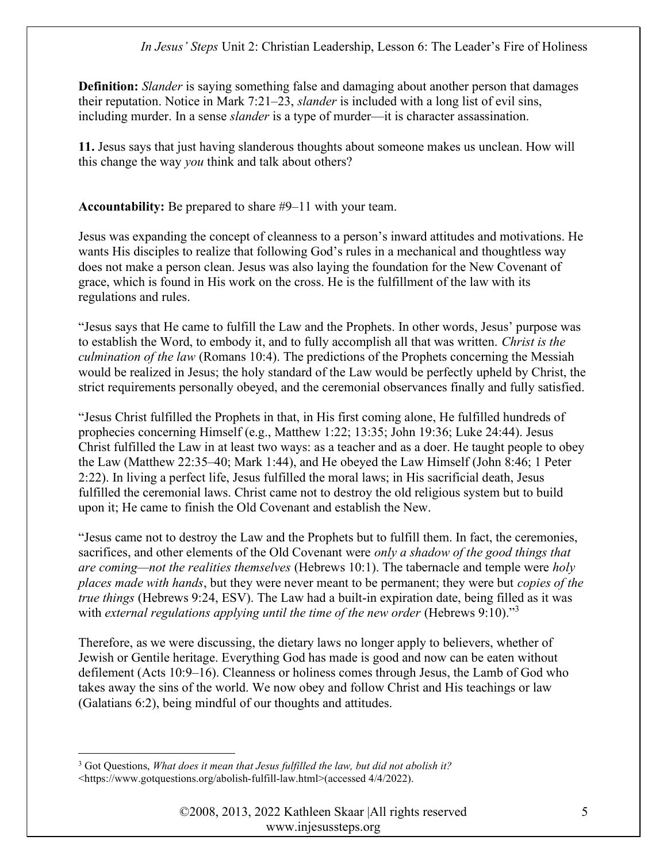**Definition:** Slander is saying something false and damaging about another person that damages their reputation. Notice in Mark 7:21–23, slander is included with a long list of evil sins, including murder. In a sense *slander* is a type of murder—it is character assassination.

11. Jesus says that just having slanderous thoughts about someone makes us unclean. How will this change the way you think and talk about others?

Accountability: Be prepared to share #9–11 with your team.

Jesus was expanding the concept of cleanness to a person's inward attitudes and motivations. He wants His disciples to realize that following God's rules in a mechanical and thoughtless way does not make a person clean. Jesus was also laying the foundation for the New Covenant of grace, which is found in His work on the cross. He is the fulfillment of the law with its regulations and rules.

"Jesus says that He came to fulfill the Law and the Prophets. In other words, Jesus' purpose was to establish the Word, to embody it, and to fully accomplish all that was written. Christ is the culmination of the law (Romans 10:4). The predictions of the Prophets concerning the Messiah would be realized in Jesus; the holy standard of the Law would be perfectly upheld by Christ, the strict requirements personally obeyed, and the ceremonial observances finally and fully satisfied.

"Jesus Christ fulfilled the Prophets in that, in His first coming alone, He fulfilled hundreds of prophecies concerning Himself (e.g., Matthew 1:22; 13:35; John 19:36; Luke 24:44). Jesus Christ fulfilled the Law in at least two ways: as a teacher and as a doer. He taught people to obey the Law (Matthew 22:35–40; Mark 1:44), and He obeyed the Law Himself (John 8:46; 1 Peter 2:22). In living a perfect life, Jesus fulfilled the moral laws; in His sacrificial death, Jesus fulfilled the ceremonial laws. Christ came not to destroy the old religious system but to build upon it; He came to finish the Old Covenant and establish the New.

"Jesus came not to destroy the Law and the Prophets but to fulfill them. In fact, the ceremonies, sacrifices, and other elements of the Old Covenant were *only a shadow of the good things that* are coming—not the realities themselves (Hebrews 10:1). The tabernacle and temple were holy places made with hands, but they were never meant to be permanent; they were but copies of the true things (Hebrews 9:24, ESV). The Law had a built-in expiration date, being filled as it was with external regulations applying until the time of the new order (Hebrews 9:10)."<sup>3</sup>

Therefore, as we were discussing, the dietary laws no longer apply to believers, whether of Jewish or Gentile heritage. Everything God has made is good and now can be eaten without defilement (Acts 10:9–16). Cleanness or holiness comes through Jesus, the Lamb of God who takes away the sins of the world. We now obey and follow Christ and His teachings or law (Galatians 6:2), being mindful of our thoughts and attitudes.

 $3$  Got Questions, What does it mean that Jesus fulfilled the law, but did not abolish it? <https://www.gotquestions.org/abolish-fulfill-law.html>(accessed 4/4/2022).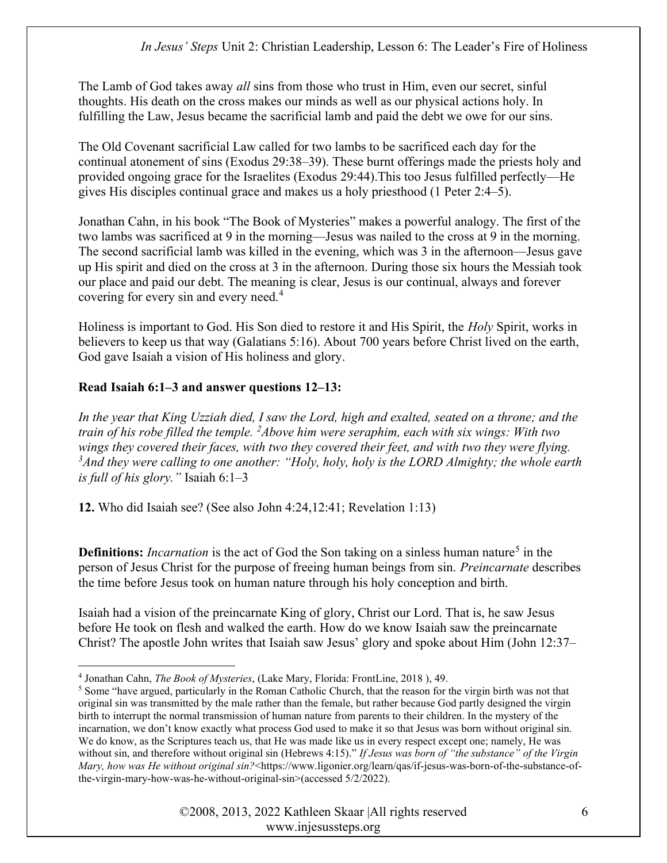The Lamb of God takes away *all* sins from those who trust in Him, even our secret, sinful thoughts. His death on the cross makes our minds as well as our physical actions holy. In fulfilling the Law, Jesus became the sacrificial lamb and paid the debt we owe for our sins.

The Old Covenant sacrificial Law called for two lambs to be sacrificed each day for the continual atonement of sins (Exodus 29:38–39). These burnt offerings made the priests holy and provided ongoing grace for the Israelites (Exodus 29:44).This too Jesus fulfilled perfectly—He gives His disciples continual grace and makes us a holy priesthood (1 Peter 2:4–5).

Jonathan Cahn, in his book "The Book of Mysteries" makes a powerful analogy. The first of the two lambs was sacrificed at 9 in the morning—Jesus was nailed to the cross at 9 in the morning. The second sacrificial lamb was killed in the evening, which was 3 in the afternoon—Jesus gave up His spirit and died on the cross at 3 in the afternoon. During those six hours the Messiah took our place and paid our debt. The meaning is clear, Jesus is our continual, always and forever covering for every sin and every need.<sup>4</sup>

Holiness is important to God. His Son died to restore it and His Spirit, the Holy Spirit, works in believers to keep us that way (Galatians 5:16). About 700 years before Christ lived on the earth, God gave Isaiah a vision of His holiness and glory.

# Read Isaiah 6:1–3 and answer questions 12–13:

In the year that King Uzziah died, I saw the Lord, high and exalted, seated on a throne; and the train of his robe filled the temple.  $^{2}$ Above him were seraphim, each with six wings: With two wings they covered their faces, with two they covered their feet, and with two they were flying.  $3A$ nd they were calling to one another: "Holy, holy, holy is the LORD Almighty; the whole earth is full of his glory." Isaiah 6:1–3

12. Who did Isaiah see? (See also John 4:24,12:41; Revelation 1:13)

**Definitions:** Incarnation is the act of God the Son taking on a sinless human nature<sup>5</sup> in the person of Jesus Christ for the purpose of freeing human beings from sin. Preincarnate describes the time before Jesus took on human nature through his holy conception and birth.

Isaiah had a vision of the preincarnate King of glory, Christ our Lord. That is, he saw Jesus before He took on flesh and walked the earth. How do we know Isaiah saw the preincarnate Christ? The apostle John writes that Isaiah saw Jesus' glory and spoke about Him (John 12:37–

<sup>&</sup>lt;sup>4</sup> Jonathan Cahn, *The Book of Mysteries*, (Lake Mary, Florida: FrontLine, 2018), 49.

<sup>&</sup>lt;sup>5</sup> Some "have argued, particularly in the Roman Catholic Church, that the reason for the virgin birth was not that original sin was transmitted by the male rather than the female, but rather because God partly designed the virgin birth to interrupt the normal transmission of human nature from parents to their children. In the mystery of the incarnation, we don't know exactly what process God used to make it so that Jesus was born without original sin. We do know, as the Scriptures teach us, that He was made like us in every respect except one; namely, He was without sin, and therefore without original sin (Hebrews 4:15)." If Jesus was born of "the substance" of the Virgin Mary, how was He without original sin?<https://www.ligonier.org/learn/qas/if-jesus-was-born-of-the-substance-ofthe-virgin-mary-how-was-he-without-original-sin>(accessed 5/2/2022).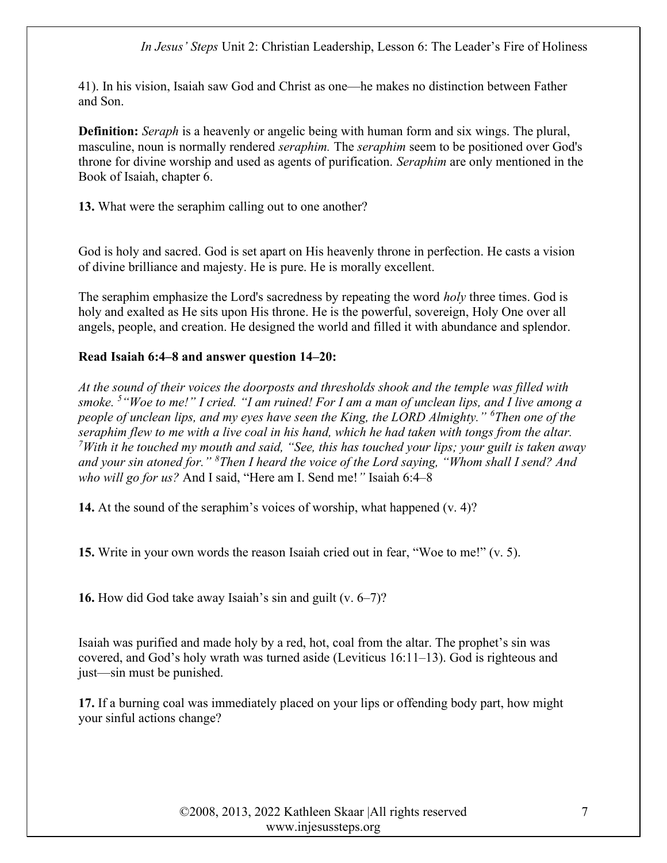41). In his vision, Isaiah saw God and Christ as one—he makes no distinction between Father and Son.

**Definition:** Seraph is a heavenly or angelic being with human form and six wings. The plural, masculine, noun is normally rendered *seraphim*. The *seraphim* seem to be positioned over God's throne for divine worship and used as agents of purification. Seraphim are only mentioned in the Book of Isaiah, chapter 6.

13. What were the seraphim calling out to one another?

God is holy and sacred. God is set apart on His heavenly throne in perfection. He casts a vision of divine brilliance and majesty. He is pure. He is morally excellent.

The seraphim emphasize the Lord's sacredness by repeating the word *holy* three times. God is holy and exalted as He sits upon His throne. He is the powerful, sovereign, Holy One over all angels, people, and creation. He designed the world and filled it with abundance and splendor.

#### Read Isaiah 6:4–8 and answer question 14–20:

At the sound of their voices the doorposts and thresholds shook and the temple was filled with smoke.  $5$  "Woe to me!" I cried. "I am ruined! For I am a man of unclean lips, and I live among a people of unclean lips, and my eyes have seen the King, the LORD Almighty." <sup>6</sup>Then one of the seraphim flew to me with a live coal in his hand, which he had taken with tongs from the altar. <sup>7</sup>With it he touched my mouth and said, "See, this has touched your lips; your guilt is taken away and your sin atoned for."  $8$ Then I heard the voice of the Lord saying, "Whom shall I send? And who will go for us? And I said, "Here am I. Send me!" Isaiah 6:4–8

14. At the sound of the seraphim's voices of worship, what happened (v. 4)?

15. Write in your own words the reason Isaiah cried out in fear, "Woe to me!" (v. 5).

16. How did God take away Isaiah's sin and guilt (v. 6–7)?

Isaiah was purified and made holy by a red, hot, coal from the altar. The prophet's sin was covered, and God's holy wrath was turned aside (Leviticus 16:11–13). God is righteous and just—sin must be punished.

17. If a burning coal was immediately placed on your lips or offending body part, how might your sinful actions change?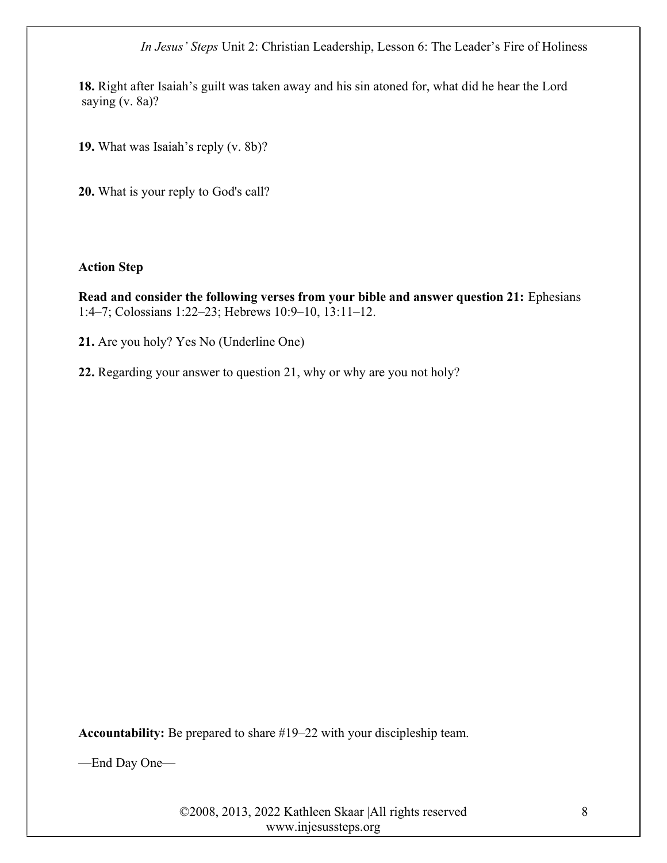18. Right after Isaiah's guilt was taken away and his sin atoned for, what did he hear the Lord saying (v. 8a)?

19. What was Isaiah's reply (v. 8b)?

20. What is your reply to God's call?

#### Action Step

Read and consider the following verses from your bible and answer question 21: Ephesians 1:4–7; Colossians 1:22–23; Hebrews 10:9–10, 13:11–12.

21. Are you holy? Yes No (Underline One)

22. Regarding your answer to question 21, why or why are you not holy?

Accountability: Be prepared to share #19–22 with your discipleship team.

—End Day One—

©2008, 2013, 2022 Kathleen Skaar |All rights reserved www.injesussteps.org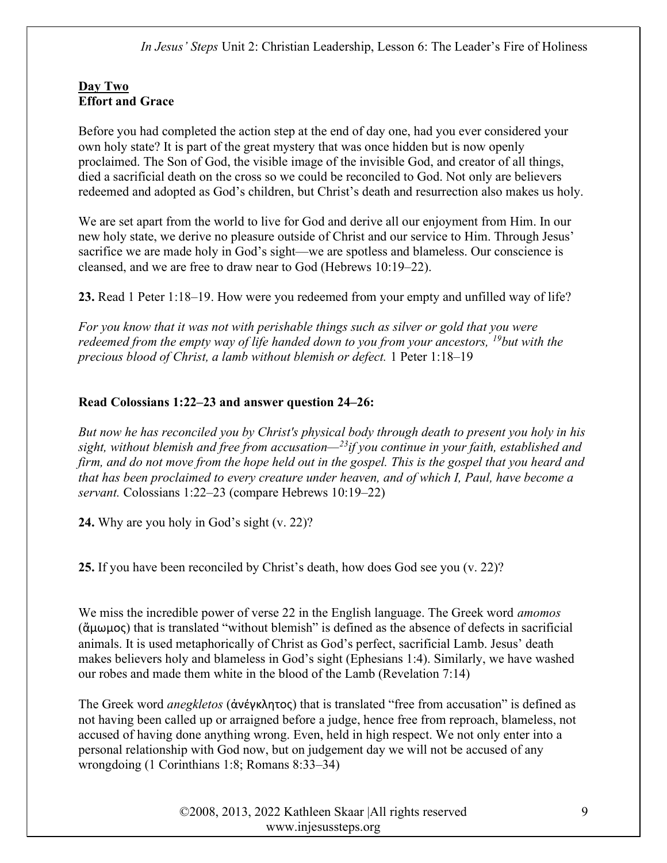# Day Two Effort and Grace

Before you had completed the action step at the end of day one, had you ever considered your own holy state? It is part of the great mystery that was once hidden but is now openly proclaimed. The Son of God, the visible image of the invisible God, and creator of all things, died a sacrificial death on the cross so we could be reconciled to God. Not only are believers redeemed and adopted as God's children, but Christ's death and resurrection also makes us holy.

We are set apart from the world to live for God and derive all our enjoyment from Him. In our new holy state, we derive no pleasure outside of Christ and our service to Him. Through Jesus' sacrifice we are made holy in God's sight—we are spotless and blameless. Our conscience is cleansed, and we are free to draw near to God (Hebrews 10:19–22).

23. Read 1 Peter 1:18–19. How were you redeemed from your empty and unfilled way of life?

For you know that it was not with perishable things such as silver or gold that you were redeemed from the empty way of life handed down to you from your ancestors,  $^{19}$ but with the precious blood of Christ, a lamb without blemish or defect. 1 Peter 1:18–19

# Read Colossians 1:22–23 and answer question 24–26:

But now he has reconciled you by Christ's physical body through death to present you holy in his sight, without blemish and free from accusation— $^{23}$ if you continue in your faith, established and firm, and do not move from the hope held out in the gospel. This is the gospel that you heard and that has been proclaimed to every creature under heaven, and of which I, Paul, have become a servant. Colossians 1:22–23 (compare Hebrews 10:19–22)

24. Why are you holy in God's sight (v. 22)?

25. If you have been reconciled by Christ's death, how does God see you (v. 22)?

We miss the incredible power of verse 22 in the English language. The Greek word *amomos* (ἄμωμος) that is translated "without blemish" is defined as the absence of defects in sacrificial animals. It is used metaphorically of Christ as God's perfect, sacrificial Lamb. Jesus' death makes believers holy and blameless in God's sight (Ephesians 1:4). Similarly, we have washed our robes and made them white in the blood of the Lamb (Revelation 7:14)

The Greek word anegkletos (ἀνέγκλητος) that is translated "free from accusation" is defined as not having been called up or arraigned before a judge, hence free from reproach, blameless, not accused of having done anything wrong. Even, held in high respect. We not only enter into a personal relationship with God now, but on judgement day we will not be accused of any wrongdoing (1 Corinthians 1:8; Romans 8:33–34)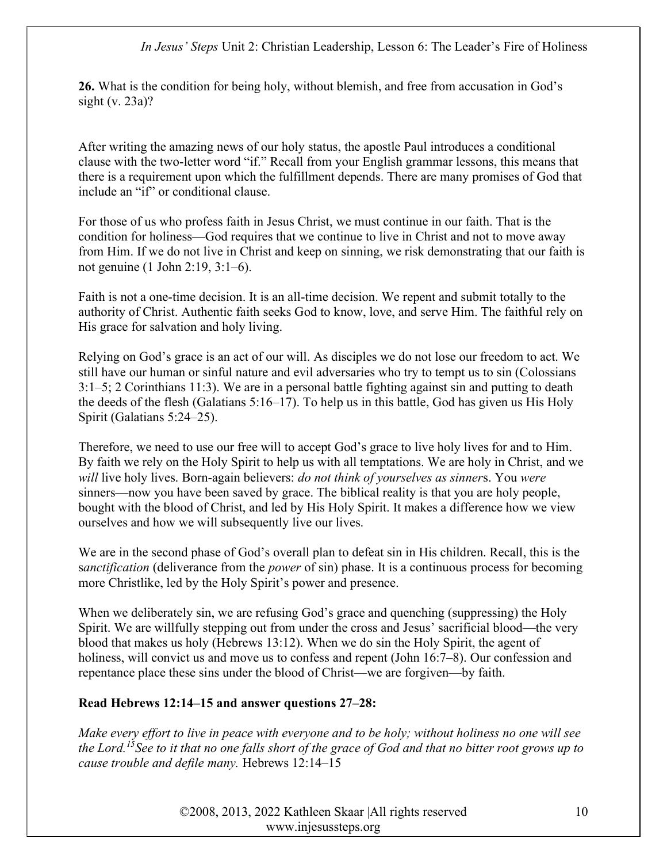26. What is the condition for being holy, without blemish, and free from accusation in God's sight (v. 23a)?

After writing the amazing news of our holy status, the apostle Paul introduces a conditional clause with the two-letter word "if." Recall from your English grammar lessons, this means that there is a requirement upon which the fulfillment depends. There are many promises of God that include an "if" or conditional clause.

For those of us who profess faith in Jesus Christ, we must continue in our faith. That is the condition for holiness—God requires that we continue to live in Christ and not to move away from Him. If we do not live in Christ and keep on sinning, we risk demonstrating that our faith is not genuine (1 John 2:19, 3:1–6).

Faith is not a one-time decision. It is an all-time decision. We repent and submit totally to the authority of Christ. Authentic faith seeks God to know, love, and serve Him. The faithful rely on His grace for salvation and holy living.

Relying on God's grace is an act of our will. As disciples we do not lose our freedom to act. We still have our human or sinful nature and evil adversaries who try to tempt us to sin (Colossians 3:1–5; 2 Corinthians 11:3). We are in a personal battle fighting against sin and putting to death the deeds of the flesh (Galatians 5:16–17). To help us in this battle, God has given us His Holy Spirit (Galatians 5:24–25).

Therefore, we need to use our free will to accept God's grace to live holy lives for and to Him. By faith we rely on the Holy Spirit to help us with all temptations. We are holy in Christ, and we will live holy lives. Born-again believers: *do not think of yourselves as sinners*. You were sinners—now you have been saved by grace. The biblical reality is that you are holy people, bought with the blood of Christ, and led by His Holy Spirit. It makes a difference how we view ourselves and how we will subsequently live our lives.

We are in the second phase of God's overall plan to defeat sin in His children. Recall, this is the sanctification (deliverance from the *power* of sin) phase. It is a continuous process for becoming more Christlike, led by the Holy Spirit's power and presence.

When we deliberately sin, we are refusing God's grace and quenching (suppressing) the Holy Spirit. We are willfully stepping out from under the cross and Jesus' sacrificial blood—the very blood that makes us holy (Hebrews 13:12). When we do sin the Holy Spirit, the agent of holiness, will convict us and move us to confess and repent (John 16:7–8). Our confession and repentance place these sins under the blood of Christ—we are forgiven—by faith.

#### Read Hebrews 12:14–15 and answer questions 27–28:

Make every effort to live in peace with everyone and to be holy; without holiness no one will see the Lord.<sup>15</sup>See to it that no one falls short of the grace of God and that no bitter root grows up to cause trouble and defile many. Hebrews 12:14–15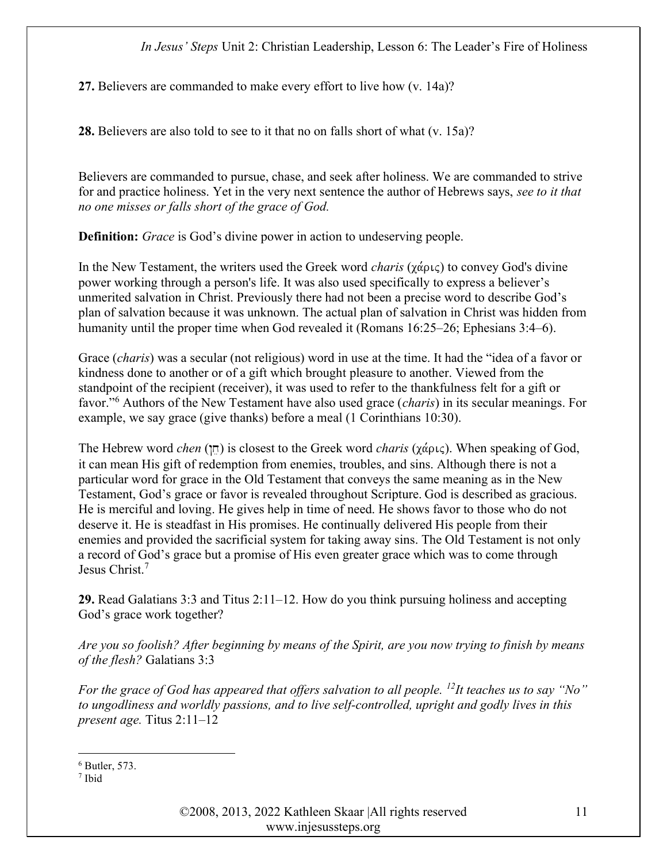27. Believers are commanded to make every effort to live how (v. 14a)?

28. Believers are also told to see to it that no on falls short of what (v. 15a)?

Believers are commanded to pursue, chase, and seek after holiness. We are commanded to strive for and practice holiness. Yet in the very next sentence the author of Hebrews says, see to it that no one misses or falls short of the grace of God.

**Definition:** Grace is God's divine power in action to undeserving people.

In the New Testament, the writers used the Greek word *charis* ( $\chi \dot{\alpha} \rho_{\alpha\beta}$ ) to convey God's divine power working through a person's life. It was also used specifically to express a believer's unmerited salvation in Christ. Previously there had not been a precise word to describe God's plan of salvation because it was unknown. The actual plan of salvation in Christ was hidden from humanity until the proper time when God revealed it (Romans 16:25–26; Ephesians 3:4–6).

Grace *(charis)* was a secular (not religious) word in use at the time. It had the "idea of a favor or kindness done to another or of a gift which brought pleasure to another. Viewed from the standpoint of the recipient (receiver), it was used to refer to the thankfulness felt for a gift or favor."<sup>6</sup> Authors of the New Testament have also used grace (*charis*) in its secular meanings. For example, we say grace (give thanks) before a meal (1 Corinthians 10:30).

The Hebrew word *chen* ( $\pi$ ) is closest to the Greek word *charis* ( $\chi \dot{\alpha}$  $\rho$ *i*c). When speaking of God, it can mean His gift of redemption from enemies, troubles, and sins. Although there is not a particular word for grace in the Old Testament that conveys the same meaning as in the New Testament, God's grace or favor is revealed throughout Scripture. God is described as gracious. He is merciful and loving. He gives help in time of need. He shows favor to those who do not deserve it. He is steadfast in His promises. He continually delivered His people from their enemies and provided the sacrificial system for taking away sins. The Old Testament is not only a record of God's grace but a promise of His even greater grace which was to come through Jesus Christ.<sup>7</sup>

29. Read Galatians 3:3 and Titus 2:11–12. How do you think pursuing holiness and accepting God's grace work together?

Are you so foolish? After beginning by means of the Spirit, are you now trying to finish by means of the flesh? Galatians 3:3

For the grace of God has appeared that offers salvation to all people. <sup>12</sup>It teaches us to say "No" to ungodliness and worldly passions, and to live self-controlled, upright and godly lives in this present age. Titus 2:11–12

©2008, 2013, 2022 Kathleen Skaar |All rights reserved www.injesussteps.org

 $6$  Butler, 573.

<sup>7</sup> Ibid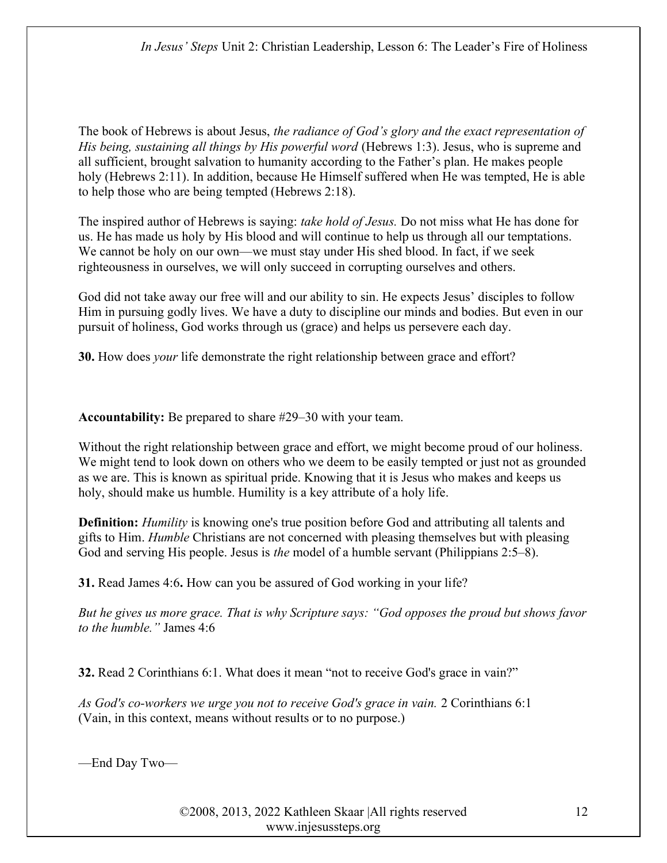The book of Hebrews is about Jesus, the radiance of God's glory and the exact representation of His being, sustaining all things by His powerful word (Hebrews 1:3). Jesus, who is supreme and all sufficient, brought salvation to humanity according to the Father's plan. He makes people holy (Hebrews 2:11). In addition, because He Himself suffered when He was tempted, He is able to help those who are being tempted (Hebrews 2:18).

The inspired author of Hebrews is saying: take hold of Jesus. Do not miss what He has done for us. He has made us holy by His blood and will continue to help us through all our temptations. We cannot be holy on our own—we must stay under His shed blood. In fact, if we seek righteousness in ourselves, we will only succeed in corrupting ourselves and others.

God did not take away our free will and our ability to sin. He expects Jesus' disciples to follow Him in pursuing godly lives. We have a duty to discipline our minds and bodies. But even in our pursuit of holiness, God works through us (grace) and helps us persevere each day.

30. How does your life demonstrate the right relationship between grace and effort?

Accountability: Be prepared to share #29–30 with your team.

Without the right relationship between grace and effort, we might become proud of our holiness. We might tend to look down on others who we deem to be easily tempted or just not as grounded as we are. This is known as spiritual pride. Knowing that it is Jesus who makes and keeps us holy, should make us humble. Humility is a key attribute of a holy life.

**Definition:** Humility is knowing one's true position before God and attributing all talents and gifts to Him. Humble Christians are not concerned with pleasing themselves but with pleasing God and serving His people. Jesus is *the* model of a humble servant (Philippians 2:5–8).

31. Read James 4:6. How can you be assured of God working in your life?

But he gives us more grace. That is why Scripture says: "God opposes the proud but shows favor to the humble." James 4:6

32. Read 2 Corinthians 6:1. What does it mean "not to receive God's grace in vain?"

As God's co-workers we urge you not to receive God's grace in vain. 2 Corinthians 6:1 (Vain, in this context, means without results or to no purpose.)

—End Day Two—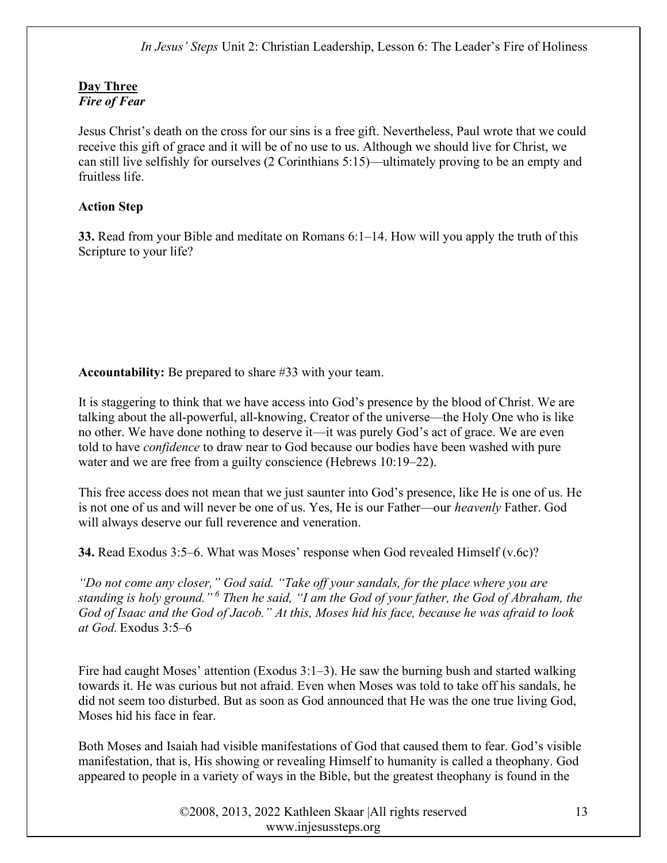# Day Three Fire of Fear

Jesus Christ's death on the cross for our sins is a free gift. Nevertheless, Paul wrote that we could receive this gift of grace and it will be of no use to us. Although we should live for Christ, we can still live selfishly for ourselves (2 Corinthians 5:15)—ultimately proving to be an empty and fruitless life.

# Action Step

33. Read from your Bible and meditate on Romans 6:1–14. How will you apply the truth of this Scripture to your life?

Accountability: Be prepared to share #33 with your team.

It is staggering to think that we have access into God's presence by the blood of Christ. We are talking about the all-powerful, all-knowing, Creator of the universe—the Holy One who is like no other. We have done nothing to deserve it—it was purely God's act of grace. We are even told to have *confidence* to draw near to God because our bodies have been washed with pure water and we are free from a guilty conscience (Hebrews 10:19–22).

This free access does not mean that we just saunter into God's presence, like He is one of us. He is not one of us and will never be one of us. Yes, He is our Father—our heavenly Father. God will always deserve our full reverence and veneration.

34. Read Exodus 3:5–6. What was Moses' response when God revealed Himself (v.6c)?

"Do not come any closer," God said. "Take off your sandals, for the place where you are standing is holy ground."<sup>6</sup> Then he said, "I am the God of your father, the God of Abraham, the God of Isaac and the God of Jacob." At this, Moses hid his face, because he was afraid to look at God. Exodus 3:5–6

Fire had caught Moses' attention (Exodus 3:1–3). He saw the burning bush and started walking towards it. He was curious but not afraid. Even when Moses was told to take off his sandals, he did not seem too disturbed. But as soon as God announced that He was the one true living God, Moses hid his face in fear.

Both Moses and Isaiah had visible manifestations of God that caused them to fear. God's visible manifestation, that is, His showing or revealing Himself to humanity is called a theophany. God appeared to people in a variety of ways in the Bible, but the greatest theophany is found in the

> ©2008, 2013, 2022 Kathleen Skaar |All rights reserved www.injesussteps.org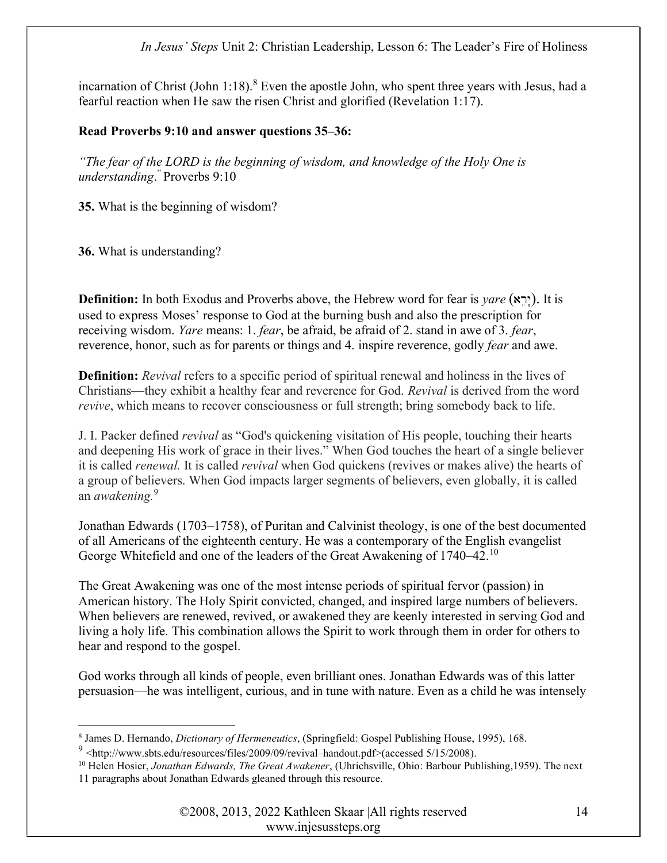incarnation of Christ (John  $1:18$ ).<sup>8</sup> Even the apostle John, who spent three years with Jesus, had a fearful reaction when He saw the risen Christ and glorified (Revelation 1:17).

#### Read Proverbs 9:10 and answer questions 35–36:

"The fear of the LORD is the beginning of wisdom, and knowledge of the Holy One is understanding. " Proverbs 9:10

35. What is the beginning of wisdom?

36. What is understanding?

**Definition:** In both Exodus and Proverbs above, the Hebrew word for fear is *yare* (יָרֵא). It is used to express Moses' response to God at the burning bush and also the prescription for receiving wisdom. Yare means: 1. fear, be afraid, be afraid of 2. stand in awe of 3. fear, reverence, honor, such as for parents or things and 4. inspire reverence, godly *fear* and awe.

**Definition:** Revival refers to a specific period of spiritual renewal and holiness in the lives of Christians—they exhibit a healthy fear and reverence for God. Revival is derived from the word revive, which means to recover consciousness or full strength; bring somebody back to life.

J. I. Packer defined revival as "God's quickening visitation of His people, touching their hearts and deepening His work of grace in their lives." When God touches the heart of a single believer it is called renewal. It is called revival when God quickens (revives or makes alive) the hearts of a group of believers. When God impacts larger segments of believers, even globally, it is called an *awakening*.<sup>9</sup>

Jonathan Edwards (1703–1758), of Puritan and Calvinist theology, is one of the best documented of all Americans of the eighteenth century. He was a contemporary of the English evangelist George Whitefield and one of the leaders of the Great Awakening of 1740–42.<sup>10</sup>

The Great Awakening was one of the most intense periods of spiritual fervor (passion) in American history. The Holy Spirit convicted, changed, and inspired large numbers of believers. When believers are renewed, revived, or awakened they are keenly interested in serving God and living a holy life. This combination allows the Spirit to work through them in order for others to hear and respond to the gospel.

God works through all kinds of people, even brilliant ones. Jonathan Edwards was of this latter persuasion—he was intelligent, curious, and in tune with nature. Even as a child he was intensely

<sup>&</sup>lt;sup>8</sup> James D. Hernando, *Dictionary of Hermeneutics*, (Springfield: Gospel Publishing House, 1995), 168.

 $9$  <http://www.sbts.edu/resources/files/2009/09/revival–handout.pdf>(accessed 5/15/2008).

<sup>&</sup>lt;sup>10</sup> Helen Hosier, *Jonathan Edwards, The Great Awakener*, (Uhrichsville, Ohio: Barbour Publishing, 1959). The next 11 paragraphs about Jonathan Edwards gleaned through this resource.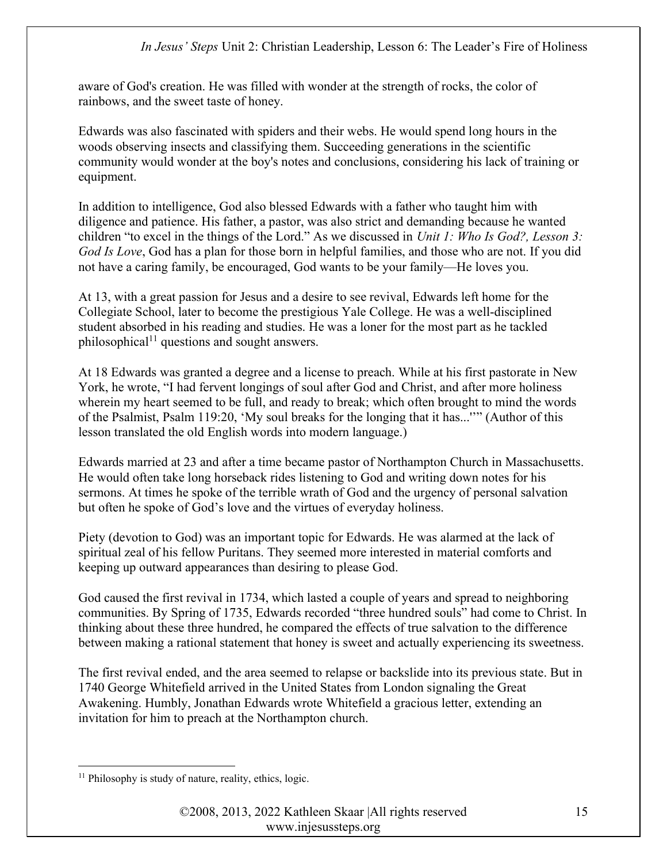aware of God's creation. He was filled with wonder at the strength of rocks, the color of rainbows, and the sweet taste of honey.

Edwards was also fascinated with spiders and their webs. He would spend long hours in the woods observing insects and classifying them. Succeeding generations in the scientific community would wonder at the boy's notes and conclusions, considering his lack of training or equipment.

In addition to intelligence, God also blessed Edwards with a father who taught him with diligence and patience. His father, a pastor, was also strict and demanding because he wanted children "to excel in the things of the Lord." As we discussed in Unit 1: Who Is God?, Lesson 3: God Is Love, God has a plan for those born in helpful families, and those who are not. If you did not have a caring family, be encouraged, God wants to be your family—He loves you.

At 13, with a great passion for Jesus and a desire to see revival, Edwards left home for the Collegiate School, later to become the prestigious Yale College. He was a well-disciplined student absorbed in his reading and studies. He was a loner for the most part as he tackled philosophical<sup>11</sup> questions and sought answers.

At 18 Edwards was granted a degree and a license to preach. While at his first pastorate in New York, he wrote, "I had fervent longings of soul after God and Christ, and after more holiness wherein my heart seemed to be full, and ready to break; which often brought to mind the words of the Psalmist, Psalm 119:20, 'My soul breaks for the longing that it has...''" (Author of this lesson translated the old English words into modern language.)

Edwards married at 23 and after a time became pastor of Northampton Church in Massachusetts. He would often take long horseback rides listening to God and writing down notes for his sermons. At times he spoke of the terrible wrath of God and the urgency of personal salvation but often he spoke of God's love and the virtues of everyday holiness.

Piety (devotion to God) was an important topic for Edwards. He was alarmed at the lack of spiritual zeal of his fellow Puritans. They seemed more interested in material comforts and keeping up outward appearances than desiring to please God.

God caused the first revival in 1734, which lasted a couple of years and spread to neighboring communities. By Spring of 1735, Edwards recorded "three hundred souls" had come to Christ. In thinking about these three hundred, he compared the effects of true salvation to the difference between making a rational statement that honey is sweet and actually experiencing its sweetness.

The first revival ended, and the area seemed to relapse or backslide into its previous state. But in 1740 George Whitefield arrived in the United States from London signaling the Great Awakening. Humbly, Jonathan Edwards wrote Whitefield a gracious letter, extending an invitation for him to preach at the Northampton church.

<sup>&</sup>lt;sup>11</sup> Philosophy is study of nature, reality, ethics, logic.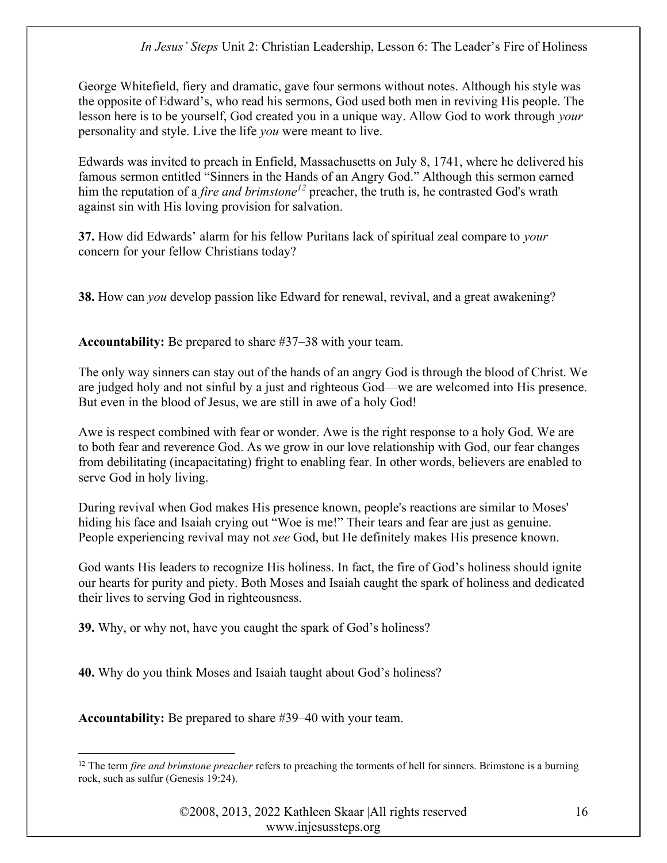George Whitefield, fiery and dramatic, gave four sermons without notes. Although his style was the opposite of Edward's, who read his sermons, God used both men in reviving His people. The lesson here is to be yourself, God created you in a unique way. Allow God to work through your personality and style. Live the life you were meant to live.

Edwards was invited to preach in Enfield, Massachusetts on July 8, 1741, where he delivered his famous sermon entitled "Sinners in the Hands of an Angry God." Although this sermon earned him the reputation of a *fire and brimstone*<sup>12</sup> preacher, the truth is, he contrasted God's wrath against sin with His loving provision for salvation.

37. How did Edwards' alarm for his fellow Puritans lack of spiritual zeal compare to your concern for your fellow Christians today?

38. How can *you* develop passion like Edward for renewal, revival, and a great awakening?

Accountability: Be prepared to share #37–38 with your team.

The only way sinners can stay out of the hands of an angry God is through the blood of Christ. We are judged holy and not sinful by a just and righteous God—we are welcomed into His presence. But even in the blood of Jesus, we are still in awe of a holy God!

Awe is respect combined with fear or wonder. Awe is the right response to a holy God. We are to both fear and reverence God. As we grow in our love relationship with God, our fear changes from debilitating (incapacitating) fright to enabling fear. In other words, believers are enabled to serve God in holy living.

During revival when God makes His presence known, people's reactions are similar to Moses' hiding his face and Isaiah crying out "Woe is me!" Their tears and fear are just as genuine. People experiencing revival may not see God, but He definitely makes His presence known.

God wants His leaders to recognize His holiness. In fact, the fire of God's holiness should ignite our hearts for purity and piety. Both Moses and Isaiah caught the spark of holiness and dedicated their lives to serving God in righteousness.

39. Why, or why not, have you caught the spark of God's holiness?

40. Why do you think Moses and Isaiah taught about God's holiness?

Accountability: Be prepared to share #39–40 with your team.

 $12$  The term *fire and brimstone preacher* refers to preaching the torments of hell for sinners. Brimstone is a burning rock, such as sulfur (Genesis 19:24).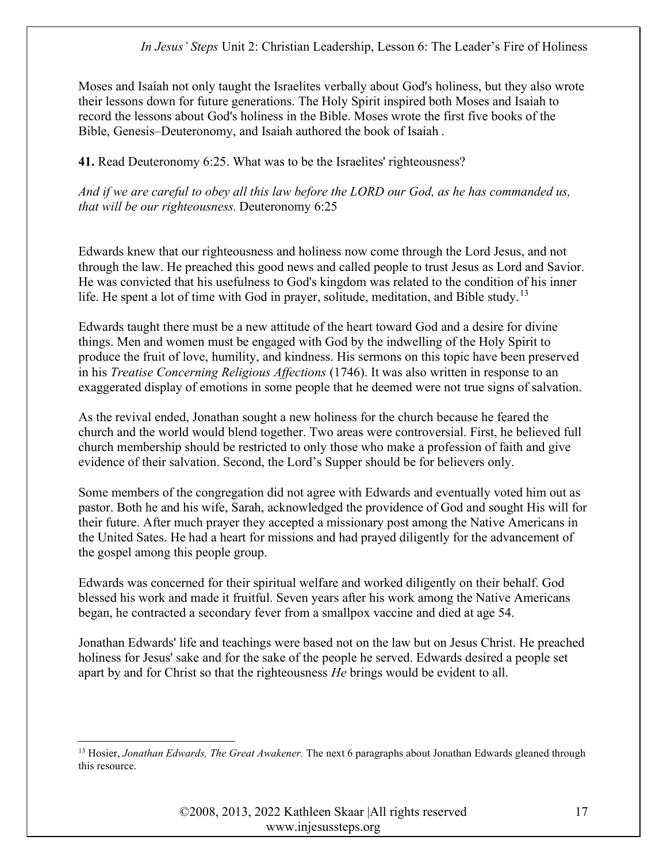Moses and Isaiah not only taught the Israelites verbally about God's holiness, but they also wrote their lessons down for future generations. The Holy Spirit inspired both Moses and Isaiah to record the lessons about God's holiness in the Bible. Moses wrote the first five books of the Bible, Genesis–Deuteronomy, and Isaiah authored the book of Isaiah .

41. Read Deuteronomy 6:25. What was to be the Israelites' righteousness?

And if we are careful to obey all this law before the LORD our God, as he has commanded us, that will be our righteousness. Deuteronomy 6:25

Edwards knew that our righteousness and holiness now come through the Lord Jesus, and not through the law. He preached this good news and called people to trust Jesus as Lord and Savior. He was convicted that his usefulness to God's kingdom was related to the condition of his inner life. He spent a lot of time with God in prayer, solitude, meditation, and Bible study.<sup>13</sup>

Edwards taught there must be a new attitude of the heart toward God and a desire for divine things. Men and women must be engaged with God by the indwelling of the Holy Spirit to produce the fruit of love, humility, and kindness. His sermons on this topic have been preserved in his Treatise Concerning Religious Affections (1746). It was also written in response to an exaggerated display of emotions in some people that he deemed were not true signs of salvation.

As the revival ended, Jonathan sought a new holiness for the church because he feared the church and the world would blend together. Two areas were controversial. First, he believed full church membership should be restricted to only those who make a profession of faith and give evidence of their salvation. Second, the Lord's Supper should be for believers only.

Some members of the congregation did not agree with Edwards and eventually voted him out as pastor. Both he and his wife, Sarah, acknowledged the providence of God and sought His will for their future. After much prayer they accepted a missionary post among the Native Americans in the United Sates. He had a heart for missions and had prayed diligently for the advancement of the gospel among this people group.

Edwards was concerned for their spiritual welfare and worked diligently on their behalf. God blessed his work and made it fruitful. Seven years after his work among the Native Americans began, he contracted a secondary fever from a smallpox vaccine and died at age 54.

Jonathan Edwards' life and teachings were based not on the law but on Jesus Christ. He preached holiness for Jesus' sake and for the sake of the people he served. Edwards desired a people set apart by and for Christ so that the righteousness He brings would be evident to all.

<sup>&</sup>lt;sup>13</sup> Hosier, *Jonathan Edwards, The Great Awakener*. The next 6 paragraphs about Jonathan Edwards gleaned through this resource.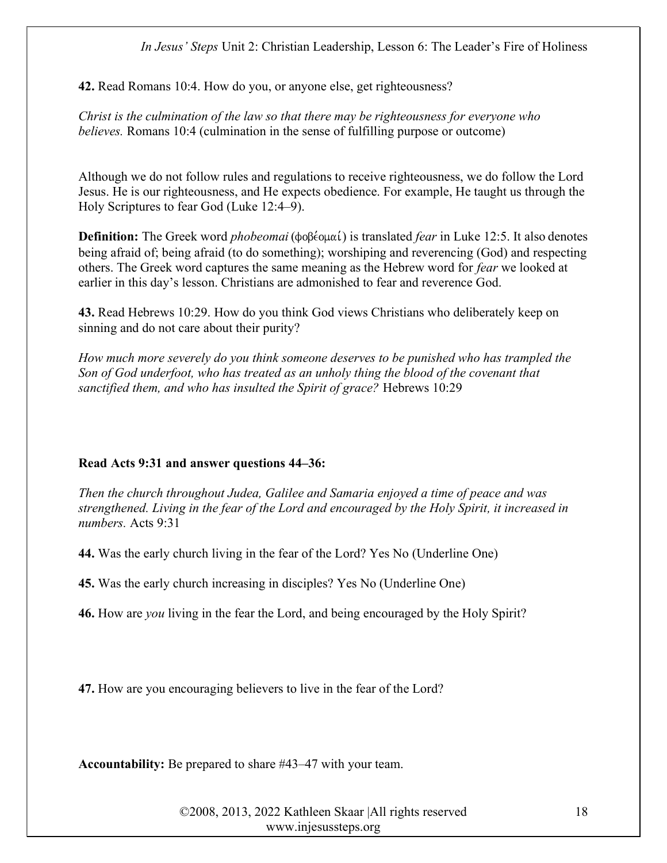42. Read Romans 10:4. How do you, or anyone else, get righteousness?

Christ is the culmination of the law so that there may be righteousness for everyone who believes. Romans 10:4 (culmination in the sense of fulfilling purpose or outcome)

Although we do not follow rules and regulations to receive righteousness, we do follow the Lord Jesus. He is our righteousness, and He expects obedience. For example, He taught us through the Holy Scriptures to fear God (Luke 12:4–9).

**Definition:** The Greek word *phobeomai* ( $\phi$  $\phi\beta\acute{e}$  $\phi\mu\alpha\acute{i}$ ) is translated *fear* in Luke 12:5. It also denotes being afraid of; being afraid (to do something); worshiping and reverencing (God) and respecting others. The Greek word captures the same meaning as the Hebrew word for *fear* we looked at earlier in this day's lesson. Christians are admonished to fear and reverence God.

43. Read Hebrews 10:29. How do you think God views Christians who deliberately keep on sinning and do not care about their purity?

How much more severely do you think someone deserves to be punished who has trampled the Son of God underfoot, who has treated as an unholy thing the blood of the covenant that sanctified them, and who has insulted the Spirit of grace? Hebrews 10:29

#### Read Acts 9:31 and answer questions 44–36:

Then the church throughout Judea, Galilee and Samaria enjoyed a time of peace and was strengthened. Living in the fear of the Lord and encouraged by the Holy Spirit, it increased in numbers. Acts 9:31

44. Was the early church living in the fear of the Lord? Yes No (Underline One)

45. Was the early church increasing in disciples? Yes No (Underline One)

46. How are you living in the fear the Lord, and being encouraged by the Holy Spirit?

47. How are you encouraging believers to live in the fear of the Lord?

Accountability: Be prepared to share #43–47 with your team.

©2008, 2013, 2022 Kathleen Skaar |All rights reserved www.injesussteps.org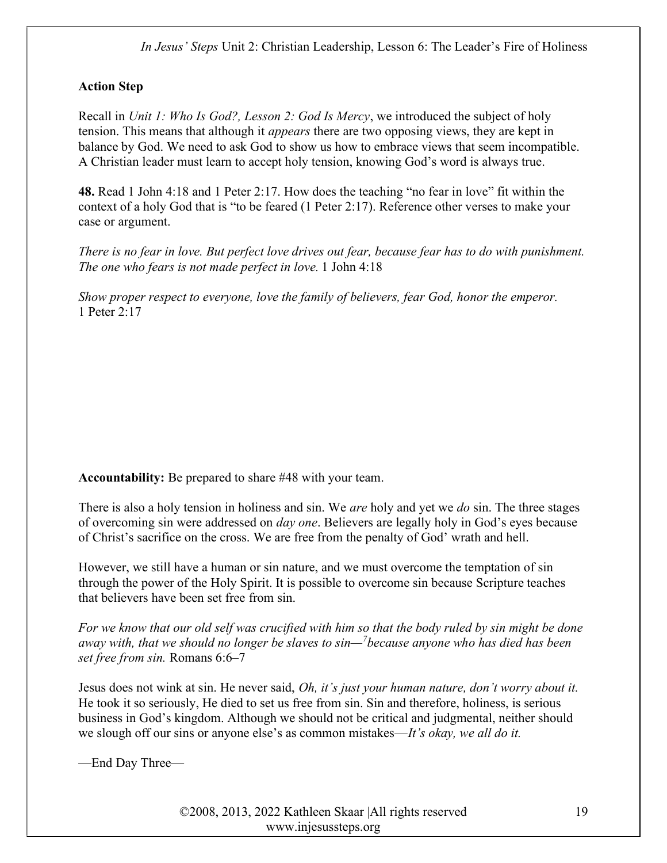# Action Step

Recall in Unit 1: Who Is God?, Lesson 2: God Is Mercy, we introduced the subject of holy tension. This means that although it *appears* there are two opposing views, they are kept in balance by God. We need to ask God to show us how to embrace views that seem incompatible. A Christian leader must learn to accept holy tension, knowing God's word is always true.

48. Read 1 John 4:18 and 1 Peter 2:17. How does the teaching "no fear in love" fit within the context of a holy God that is "to be feared (1 Peter 2:17). Reference other verses to make your case or argument.

There is no fear in love. But perfect love drives out fear, because fear has to do with punishment. The one who fears is not made perfect in love. 1 John 4:18

Show proper respect to everyone, love the family of believers, fear God, honor the emperor. 1 Peter 2:17

Accountability: Be prepared to share #48 with your team.

There is also a holy tension in holiness and sin. We are holy and yet we do sin. The three stages of overcoming sin were addressed on day one. Believers are legally holy in God's eyes because of Christ's sacrifice on the cross. We are free from the penalty of God' wrath and hell.

However, we still have a human or sin nature, and we must overcome the temptation of sin through the power of the Holy Spirit. It is possible to overcome sin because Scripture teaches that believers have been set free from sin.

For we know that our old self was crucified with him so that the body ruled by sin might be done away with, that we should no longer be slaves to  $sin$ — $\delta$ because anyone who has died has been set free from sin. Romans 6:6–7

Jesus does not wink at sin. He never said, Oh, it's just your human nature, don't worry about it. He took it so seriously, He died to set us free from sin. Sin and therefore, holiness, is serious business in God's kingdom. Although we should not be critical and judgmental, neither should we slough off our sins or anyone else's as common mistakes—It's okay, we all do it.

—End Day Three—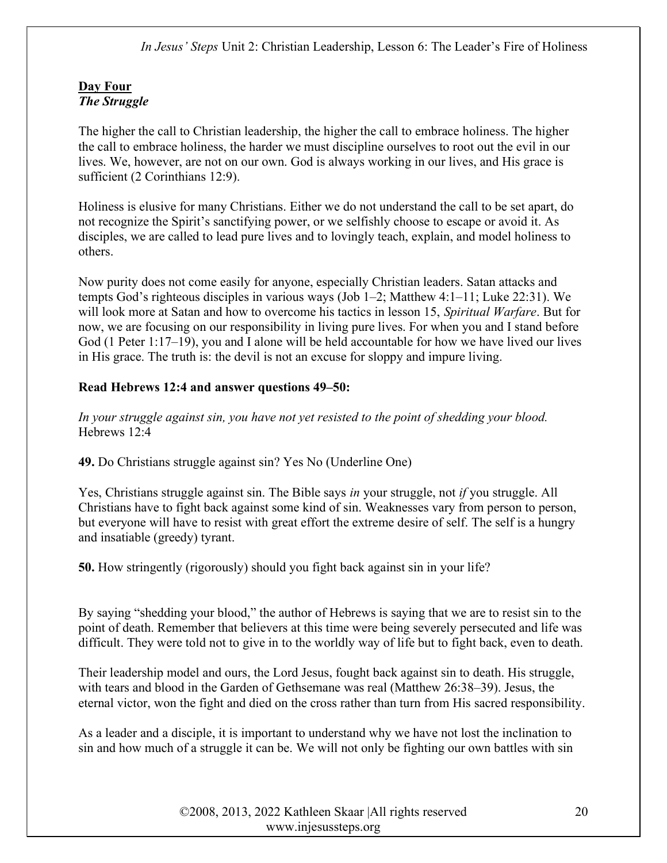# Day Four The Struggle

The higher the call to Christian leadership, the higher the call to embrace holiness. The higher the call to embrace holiness, the harder we must discipline ourselves to root out the evil in our lives. We, however, are not on our own. God is always working in our lives, and His grace is sufficient (2 Corinthians 12:9).

Holiness is elusive for many Christians. Either we do not understand the call to be set apart, do not recognize the Spirit's sanctifying power, or we selfishly choose to escape or avoid it. As disciples, we are called to lead pure lives and to lovingly teach, explain, and model holiness to others.

Now purity does not come easily for anyone, especially Christian leaders. Satan attacks and tempts God's righteous disciples in various ways (Job 1–2; Matthew 4:1–11; Luke 22:31). We will look more at Satan and how to overcome his tactics in lesson 15, Spiritual Warfare. But for now, we are focusing on our responsibility in living pure lives. For when you and I stand before God (1 Peter 1:17–19), you and I alone will be held accountable for how we have lived our lives in His grace. The truth is: the devil is not an excuse for sloppy and impure living.

# Read Hebrews 12:4 and answer questions 49–50:

In your struggle against sin, you have not yet resisted to the point of shedding your blood. Hebrews 12:4

49. Do Christians struggle against sin? Yes No (Underline One)

Yes, Christians struggle against sin. The Bible says in your struggle, not if you struggle. All Christians have to fight back against some kind of sin. Weaknesses vary from person to person, but everyone will have to resist with great effort the extreme desire of self. The self is a hungry and insatiable (greedy) tyrant.

50. How stringently (rigorously) should you fight back against sin in your life?

By saying "shedding your blood," the author of Hebrews is saying that we are to resist sin to the point of death. Remember that believers at this time were being severely persecuted and life was difficult. They were told not to give in to the worldly way of life but to fight back, even to death.

Their leadership model and ours, the Lord Jesus, fought back against sin to death. His struggle, with tears and blood in the Garden of Gethsemane was real (Matthew 26:38–39). Jesus, the eternal victor, won the fight and died on the cross rather than turn from His sacred responsibility.

As a leader and a disciple, it is important to understand why we have not lost the inclination to sin and how much of a struggle it can be. We will not only be fighting our own battles with sin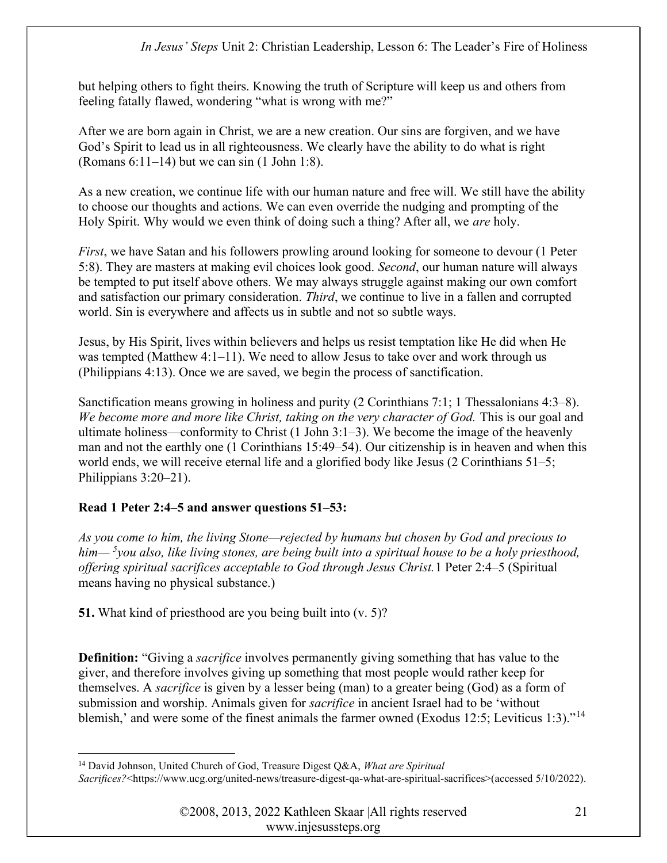but helping others to fight theirs. Knowing the truth of Scripture will keep us and others from feeling fatally flawed, wondering "what is wrong with me?"

After we are born again in Christ, we are a new creation. Our sins are forgiven, and we have God's Spirit to lead us in all righteousness. We clearly have the ability to do what is right (Romans 6:11–14) but we can sin (1 John 1:8).

As a new creation, we continue life with our human nature and free will. We still have the ability to choose our thoughts and actions. We can even override the nudging and prompting of the Holy Spirit. Why would we even think of doing such a thing? After all, we are holy.

First, we have Satan and his followers prowling around looking for someone to devour (1 Peter 5:8). They are masters at making evil choices look good. Second, our human nature will always be tempted to put itself above others. We may always struggle against making our own comfort and satisfaction our primary consideration. Third, we continue to live in a fallen and corrupted world. Sin is everywhere and affects us in subtle and not so subtle ways.

Jesus, by His Spirit, lives within believers and helps us resist temptation like He did when He was tempted (Matthew  $4:1-11$ ). We need to allow Jesus to take over and work through us (Philippians 4:13). Once we are saved, we begin the process of sanctification.

Sanctification means growing in holiness and purity (2 Corinthians 7:1; 1 Thessalonians 4:3–8). We become more and more like Christ, taking on the very character of God. This is our goal and ultimate holiness—conformity to Christ (1 John 3:1–3). We become the image of the heavenly man and not the earthly one (1 Corinthians 15:49–54). Our citizenship is in heaven and when this world ends, we will receive eternal life and a glorified body like Jesus (2 Corinthians 51–5; Philippians 3:20–21).

# Read 1 Peter 2:4–5 and answer questions 51–53:

As you come to him, the living Stone—rejected by humans but chosen by God and precious to him—  $5$ you also, like living stones, are being built into a spiritual house to be a holy priesthood, offering spiritual sacrifices acceptable to God through Jesus Christ.1 Peter 2:4–5 (Spiritual means having no physical substance.)

51. What kind of priesthood are you being built into (v. 5)?

**Definition:** "Giving a *sacrifice* involves permanently giving something that has value to the giver, and therefore involves giving up something that most people would rather keep for themselves. A sacrifice is given by a lesser being (man) to a greater being (God) as a form of submission and worship. Animals given for *sacrifice* in ancient Israel had to be 'without blemish,' and were some of the finest animals the farmer owned (Exodus 12:5; Leviticus 1:3)."<sup>14</sup>

<sup>&</sup>lt;sup>14</sup> David Johnson, United Church of God, Treasure Digest Q&A, What are Spiritual Sacrifices?<https://www.ucg.org/united-news/treasure-digest-qa-what-are-spiritual-sacrifices>(accessed 5/10/2022).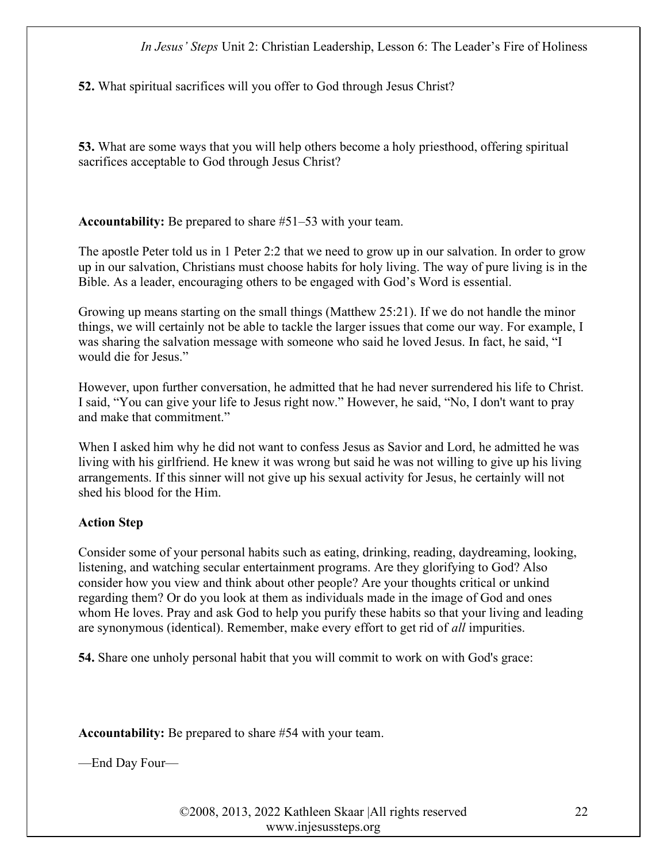52. What spiritual sacrifices will you offer to God through Jesus Christ?

53. What are some ways that you will help others become a holy priesthood, offering spiritual sacrifices acceptable to God through Jesus Christ?

Accountability: Be prepared to share #51–53 with your team.

The apostle Peter told us in 1 Peter 2:2 that we need to grow up in our salvation. In order to grow up in our salvation, Christians must choose habits for holy living. The way of pure living is in the Bible. As a leader, encouraging others to be engaged with God's Word is essential.

Growing up means starting on the small things (Matthew 25:21). If we do not handle the minor things, we will certainly not be able to tackle the larger issues that come our way. For example, I was sharing the salvation message with someone who said he loved Jesus. In fact, he said, "I would die for Jesus."

However, upon further conversation, he admitted that he had never surrendered his life to Christ. I said, "You can give your life to Jesus right now." However, he said, "No, I don't want to pray and make that commitment."

When I asked him why he did not want to confess Jesus as Savior and Lord, he admitted he was living with his girlfriend. He knew it was wrong but said he was not willing to give up his living arrangements. If this sinner will not give up his sexual activity for Jesus, he certainly will not shed his blood for the Him.

# Action Step

Consider some of your personal habits such as eating, drinking, reading, daydreaming, looking, listening, and watching secular entertainment programs. Are they glorifying to God? Also consider how you view and think about other people? Are your thoughts critical or unkind regarding them? Or do you look at them as individuals made in the image of God and ones whom He loves. Pray and ask God to help you purify these habits so that your living and leading are synonymous (identical). Remember, make every effort to get rid of all impurities.

54. Share one unholy personal habit that you will commit to work on with God's grace:

Accountability: Be prepared to share #54 with your team.

—End Day Four—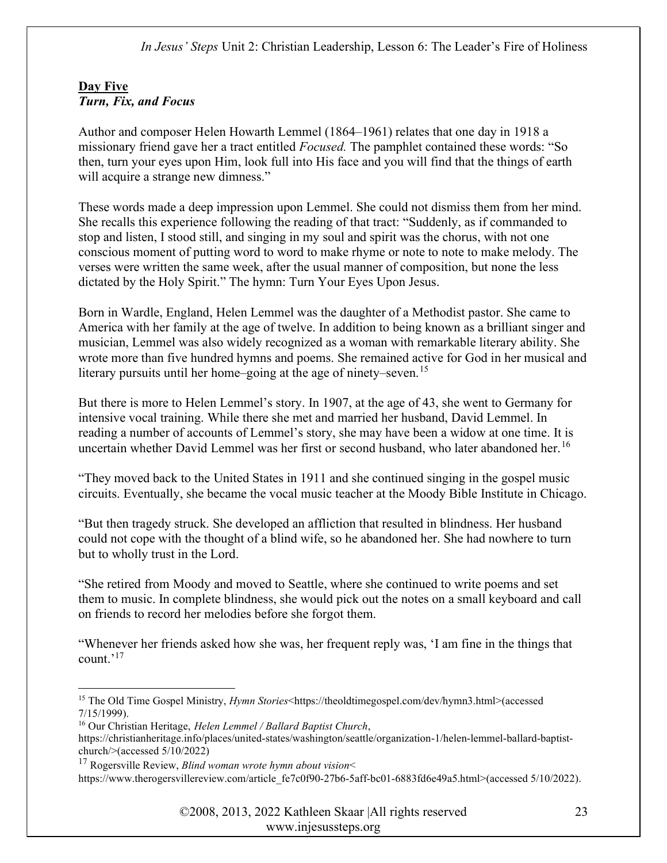# Day Five Turn, Fix, and Focus

Author and composer Helen Howarth Lemmel (1864–1961) relates that one day in 1918 a missionary friend gave her a tract entitled Focused. The pamphlet contained these words: "So then, turn your eyes upon Him, look full into His face and you will find that the things of earth will acquire a strange new dimness."

These words made a deep impression upon Lemmel. She could not dismiss them from her mind. She recalls this experience following the reading of that tract: "Suddenly, as if commanded to stop and listen, I stood still, and singing in my soul and spirit was the chorus, with not one conscious moment of putting word to word to make rhyme or note to note to make melody. The verses were written the same week, after the usual manner of composition, but none the less dictated by the Holy Spirit." The hymn: Turn Your Eyes Upon Jesus.

Born in Wardle, England, Helen Lemmel was the daughter of a Methodist pastor. She came to America with her family at the age of twelve. In addition to being known as a brilliant singer and musician, Lemmel was also widely recognized as a woman with remarkable literary ability. She wrote more than five hundred hymns and poems. She remained active for God in her musical and literary pursuits until her home–going at the age of ninety–seven.<sup>15</sup>

But there is more to Helen Lemmel's story. In 1907, at the age of 43, she went to Germany for intensive vocal training. While there she met and married her husband, David Lemmel. In reading a number of accounts of Lemmel's story, she may have been a widow at one time. It is uncertain whether David Lemmel was her first or second husband, who later abandoned her.<sup>16</sup>

"They moved back to the United States in 1911 and she continued singing in the gospel music circuits. Eventually, she became the vocal music teacher at the Moody Bible Institute in Chicago.

"But then tragedy struck. She developed an affliction that resulted in blindness. Her husband could not cope with the thought of a blind wife, so he abandoned her. She had nowhere to turn but to wholly trust in the Lord.

"She retired from Moody and moved to Seattle, where she continued to write poems and set them to music. In complete blindness, she would pick out the notes on a small keyboard and call on friends to record her melodies before she forgot them.

"Whenever her friends asked how she was, her frequent reply was, 'I am fine in the things that count.'<sup>17</sup>

<sup>16</sup> Our Christian Heritage, Helen Lemmel / Ballard Baptist Church,

<sup>17</sup> Rogersville Review, *Blind woman wrote hymn about vision* 

<sup>&</sup>lt;sup>15</sup> The Old Time Gospel Ministry, *Hymn Stories*<https://theoldtimegospel.com/dev/hymn3.html>(accessed 7/15/1999).

https://christianheritage.info/places/united-states/washington/seattle/organization-1/helen-lemmel-ballard-baptistchurch/>(accessed 5/10/2022)

https://www.therogersvillereview.com/article\_fe7c0f90-27b6-5aff-bc01-6883fd6e49a5.html>(accessed 5/10/2022).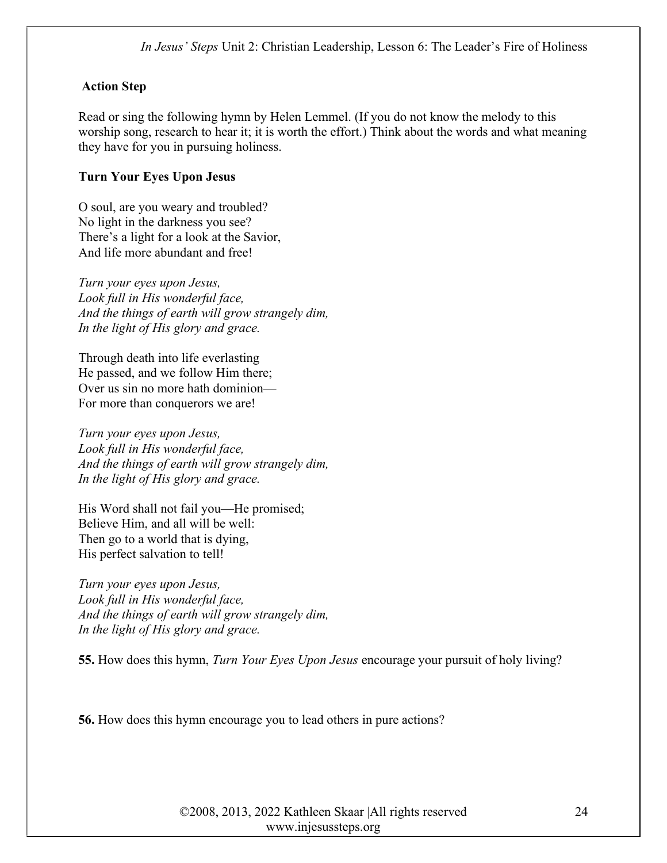# Action Step

Read or sing the following hymn by Helen Lemmel. (If you do not know the melody to this worship song, research to hear it; it is worth the effort.) Think about the words and what meaning they have for you in pursuing holiness.

# Turn Your Eyes Upon Jesus

O soul, are you weary and troubled? No light in the darkness you see? There's a light for a look at the Savior, And life more abundant and free!

Turn your eyes upon Jesus, Look full in His wonderful face, And the things of earth will grow strangely dim, In the light of His glory and grace.

Through death into life everlasting He passed, and we follow Him there; Over us sin no more hath dominion— For more than conquerors we are!

Turn your eyes upon Jesus, Look full in His wonderful face, And the things of earth will grow strangely dim, In the light of His glory and grace.

His Word shall not fail you—He promised; Believe Him, and all will be well: Then go to a world that is dying, His perfect salvation to tell!

Turn your eyes upon Jesus, Look full in His wonderful face, And the things of earth will grow strangely dim, In the light of His glory and grace.

55. How does this hymn, Turn Your Eyes Upon Jesus encourage your pursuit of holy living?

56. How does this hymn encourage you to lead others in pure actions?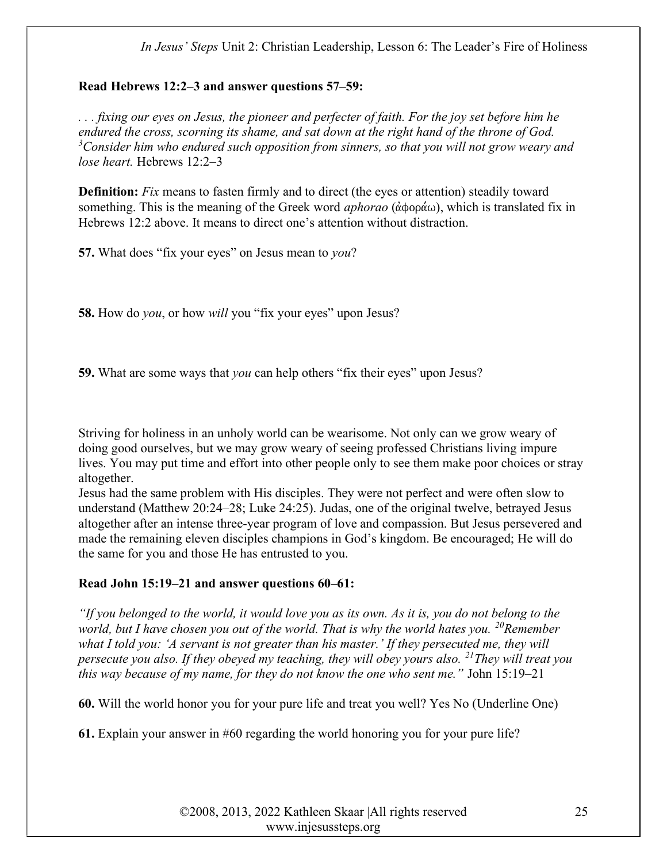#### Read Hebrews 12:2–3 and answer questions 57–59:

. . . fixing our eyes on Jesus, the pioneer and perfecter of faith. For the joy set before him he endured the cross, scorning its shame, and sat down at the right hand of the throne of God.  $3$ Consider him who endured such opposition from sinners, so that you will not grow weary and lose heart. Hebrews 12:2–3

Definition: Fix means to fasten firmly and to direct (the eyes or attention) steadily toward something. This is the meaning of the Greek word *aphorao* ( $\phi$ ), which is translated fix in Hebrews 12:2 above. It means to direct one's attention without distraction.

57. What does "fix your eyes" on Jesus mean to you?

58. How do *you*, or how *will* you "fix your eyes" upon Jesus?

59. What are some ways that *you* can help others "fix their eyes" upon Jesus?

Striving for holiness in an unholy world can be wearisome. Not only can we grow weary of doing good ourselves, but we may grow weary of seeing professed Christians living impure lives. You may put time and effort into other people only to see them make poor choices or stray altogether.

Jesus had the same problem with His disciples. They were not perfect and were often slow to understand (Matthew 20:24–28; Luke 24:25). Judas, one of the original twelve, betrayed Jesus altogether after an intense three-year program of love and compassion. But Jesus persevered and made the remaining eleven disciples champions in God's kingdom. Be encouraged; He will do the same for you and those He has entrusted to you.

# Read John 15:19–21 and answer questions 60–61:

"If you belonged to the world, it would love you as its own. As it is, you do not belong to the world, but I have chosen you out of the world. That is why the world hates you.  $^{20}$ Remember what I told you: 'A servant is not greater than his master.' If they persecuted me, they will persecute you also. If they obeyed my teaching, they will obey yours also. <sup>21</sup>They will treat you this way because of my name, for they do not know the one who sent me." John 15:19–21

60. Will the world honor you for your pure life and treat you well? Yes No (Underline One)

61. Explain your answer in #60 regarding the world honoring you for your pure life?